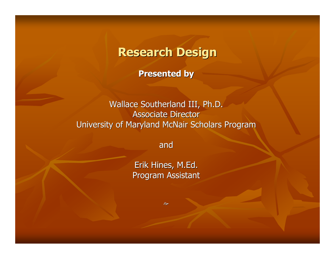### Research Design

Presented by

Wallace Southerland III, Ph.D.Associate DirectorUniversity of Maryland McNair Scholars Program

and

Erik Hines, M.Ed.Program Assistant

 $\hat{\sigma}$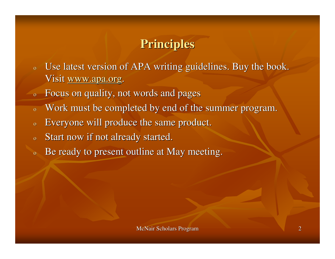## **Principles**

- o Use latest version of APA writing guidelines. Buy the book. Visit www.apa.org.
- oFocus on quality, not words and pages
- oWork must be completed by end of the summer program.
- oEveryone will produce the same product.
- oStart now if not already started.
- $\overline{O}$ Be ready to present outline at May meeting.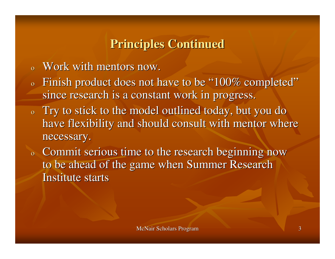## **Principles Continued**

- oWork with mentors now.
- o $\circ$  Finish product does not have to be "100% completed" since research is a constant work in progress.
- o $\,$  Try to stick to the model outlined today, but you do  $\,$ have flexibility and should consult with mentor where necessary.
- o Commit serious time to the research beginning now to be ahead of the game when Summer Research Institute starts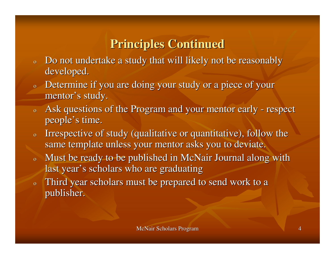# **Principles Continued**

- o Do not undertake a study that will likely not be reasonably developed.
- $\overline{0}$  Determine if you are doing your study or a piece of your mentor's study.
- o Ask questions of the Program and your mentor early - respec<sup>t</sup> people's time.
- o Irrespective of study (qualitative or quantitative), follow the same template unless your mentor asks you to deviate.
- o Must be ready to be published in McNair Journal along with last year's scholars who are graduating
- Third year scholars must be prepared to send work to a  $\overline{0}$ publisher.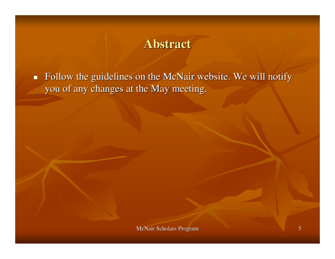#### **Abstract**

■ Follow the guidelines on the McNair website. We will notify you of any changes at the May meeting.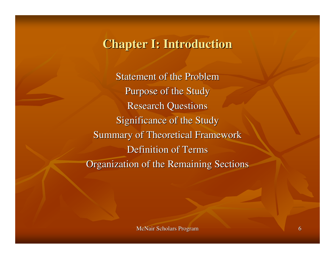#### **Chapter I: Introduction**

Statement of the ProblemPurpose of the StudyResearch QuestionsSignificance of the StudySummary of Theoretical FrameworkDefinition of TermsOrganization of the Remaining Sections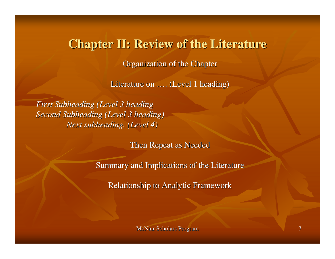#### **Chapter II: Review of the Literature**

Organization of the Chapter

Literature on …. (Level 1 heading)

*First Subheading (Level 3 heading Second Subheading (Level 3 heading)Next subheading. (Level 4)*

Then Repeat as Needed

Summary and Implications of the Literature

Relationship to Analytic Framework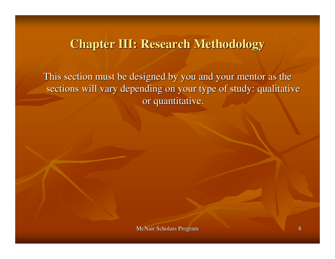#### **Chapter III: Research Methodology**

This section must be designed by you and your mentor as the sections will vary depending on your type of study: qualitative or quantitative.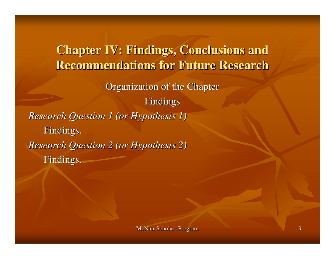**Chapter IV: Findings, Conclusions and Recommendations for Future Research**Organization of the ChapterFindings*Research Question 1 (or Hypothesis 1)*Findings.*Research Question 2 (or Hypothesis 2)*Findings.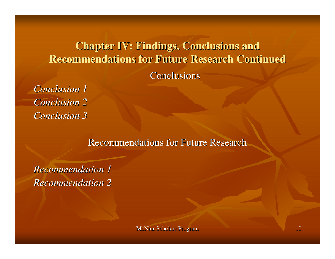# **Chapter IV: Findings, Conclusions and Recommendations for Future Research Continued**

#### **Conclusions**

*Conclusion 1 Conclusion 2Conclusion 3*

Recommendations for Future Research

*Recommendation 1Recommendation 2*

McNair Scholars Program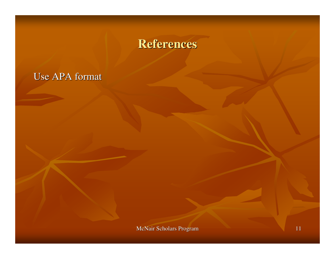### **References**

#### Use APA format

McNair Scholars Program